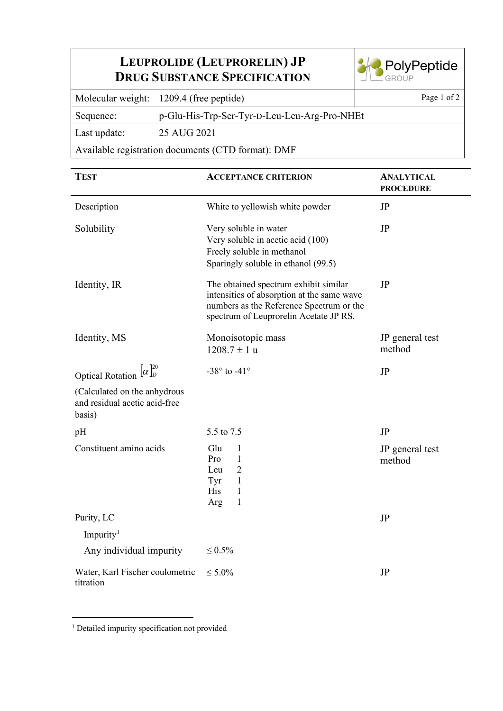## **LEUPROLIDE (LEUPRORELIN) JP DRUG SUBSTANCE SPECIFICATION**



Molecular weight: 1209.4 (free peptide) Page 1 of 2

Sequence: p-Glu-His-Trp-Ser-Tyr-D-Leu-Leu-Arg-Pro-NHEt

Last update: 25 AUG 2021

Available registration documents (CTD format): DMF

| <b>TEST</b>                                                             | <b>ACCEPTANCE CRITERION</b>                                                                                                                                               | <b>ANALYTICAL</b><br><b>PROCEDURE</b> |
|-------------------------------------------------------------------------|---------------------------------------------------------------------------------------------------------------------------------------------------------------------------|---------------------------------------|
| Description                                                             | White to yellowish white powder                                                                                                                                           | JP                                    |
| Solubility                                                              | Very soluble in water<br>Very soluble in acetic acid (100)<br>Freely soluble in methanol<br>Sparingly soluble in ethanol (99.5)                                           | JP                                    |
| Identity, IR                                                            | The obtained spectrum exhibit similar<br>intensities of absorption at the same wave<br>numbers as the Reference Spectrum or the<br>spectrum of Leuprorelin Acetate JP RS. | JP                                    |
| Identity, MS                                                            | Monoisotopic mass<br>$1208.7 \pm 1 u$                                                                                                                                     | JP general test<br>method             |
| Optical Rotation $[\alpha]_D^{20}$                                      | -38 $\degree$ to -41 $\degree$                                                                                                                                            | JP                                    |
| (Calculated on the anhydrous<br>and residual acetic acid-free<br>basis) |                                                                                                                                                                           |                                       |
| pH                                                                      | 5.5 to 7.5                                                                                                                                                                | JP                                    |
| Constituent amino acids                                                 | Glu<br>1<br>$\mathbf{1}$<br>Pro<br>$\overline{2}$<br>Leu<br>Tyr<br>$\mathbf{1}$<br><b>His</b><br>1<br>1<br>Arg                                                            | JP general test<br>method             |
| Purity, LC                                                              |                                                                                                                                                                           | JP                                    |
| Impurity <sup>1</sup>                                                   |                                                                                                                                                                           |                                       |
| Any individual impurity                                                 | $\leq 0.5\%$                                                                                                                                                              |                                       |
| Water, Karl Fischer coulometric<br>titration                            | $\leq 5.0\%$                                                                                                                                                              | JP                                    |

<span id="page-0-0"></span><sup>1</sup> Detailed impurity specification not provided